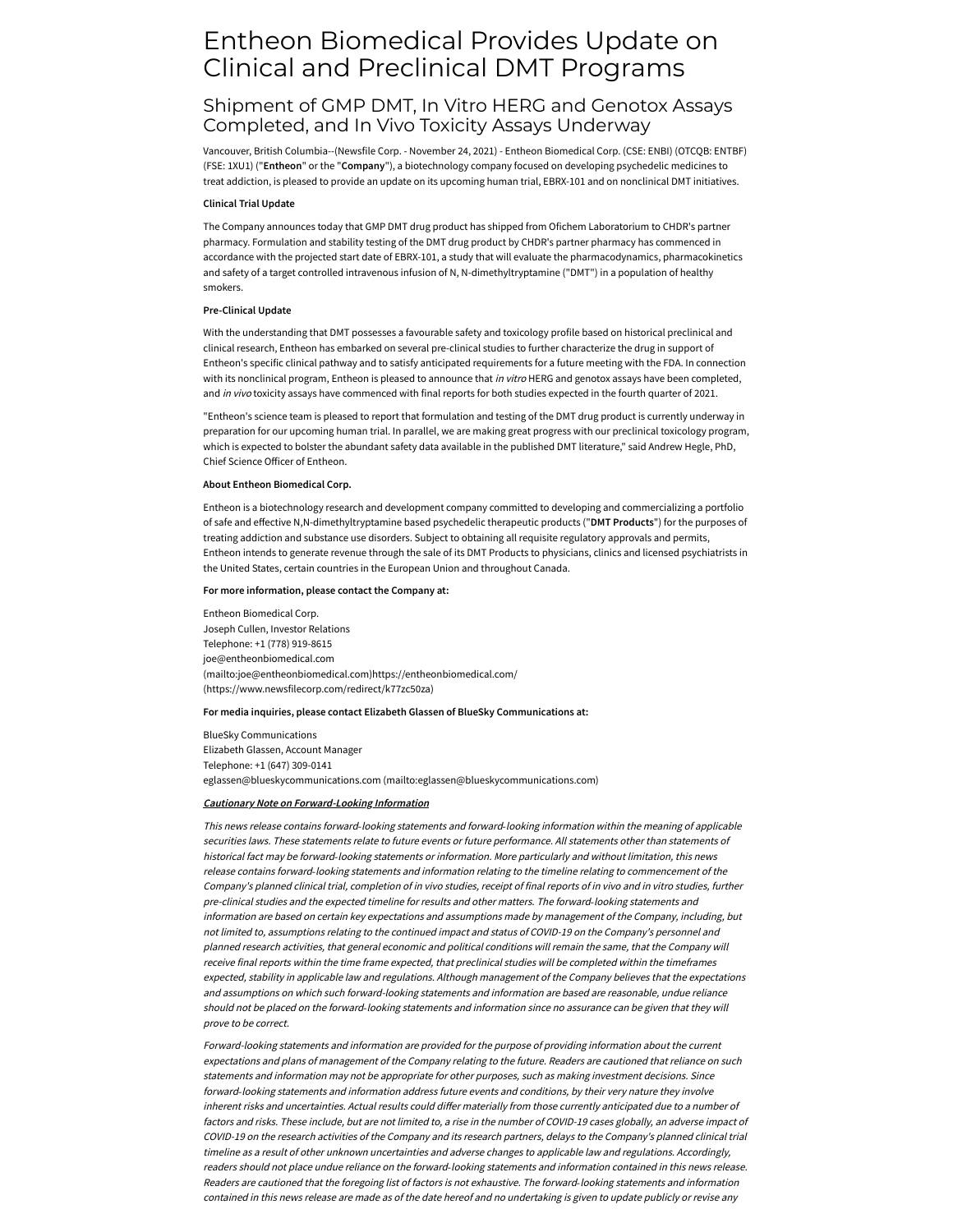# Entheon Biomedical Provides Update on Clinical and Preclinical DMT Programs

# Shipment of GMP DMT, In Vitro HERG and Genotox Assays Completed, and In Vivo Toxicity Assays Underway

Vancouver, British Columbia--(Newsfile Corp. - November 24, 2021) - Entheon Biomedical Corp. (CSE: ENBI) (OTCQB: ENTBF) (FSE: 1XU1) ("**Entheon**" or the "**Company**"), a biotechnology company focused on developing psychedelic medicines to treat addiction, is pleased to provide an update on its upcoming human trial, EBRX-101 and on nonclinical DMT initiatives.

# **Clinical Trial Update**

The Company announces today that GMP DMT drug product has shipped from Ofichem Laboratorium to CHDR's partner pharmacy. Formulation and stability testing of the DMT drug product by CHDR's partner pharmacy has commenced in accordance with the projected start date of EBRX-101, a study that will evaluate the pharmacodynamics, pharmacokinetics and safety of a target controlled intravenous infusion of N, N-dimethyltryptamine ("DMT") in a population of healthy smokers.

### **Pre-Clinical Update**

With the understanding that DMT possesses a favourable safety and toxicology profile based on historical preclinical and clinical research, Entheon has embarked on several pre-clinical studies to further characterize the drug in support of Entheon's specific clinical pathway and to satisfy anticipated requirements for a future meeting with the FDA. In connection with its nonclinical program, Entheon is pleased to announce that in vitro HERG and genotox assays have been completed, and in vivo toxicity assays have commenced with final reports for both studies expected in the fourth quarter of 2021.

"Entheon's science team is pleased to report that formulation and testing of the DMT drug product is currently underway in preparation for our upcoming human trial. In parallel, we are making great progress with our preclinical toxicology program, which is expected to bolster the abundant safety data available in the published DMT literature," said Andrew Hegle, PhD, Chief Science Officer of Entheon.

# **About Entheon Biomedical Corp.**

Entheon is a biotechnology research and development company committed to developing and commercializing a portfolio of safe and effective N,N-dimethyltryptamine based psychedelic therapeutic products ("**DMT Products**") for the purposes of treating addiction and substance use disorders. Subject to obtaining all requisite regulatory approvals and permits, Entheon intends to generate revenue through the sale of its DMT Products to physicians, clinics and licensed psychiatrists in the United States, certain countries in the European Union and throughout Canada.

# **For more information, please contact the Company at:**

Entheon Biomedical Corp. Joseph Cullen, Investor Relations Telephone: +1 (778) 919-8615 joe@entheonbiomedical.com [\(mailto:joe@entheonbiomedical.com](mailto:joe@entheonbiomedical.com)[\)https://entheonbiomedical.com/](https://www.newsfilecorp.com/redirect/k77zc50za) (https://www.newsfilecorp.com/redirect/k77zc50za)

### **For media inquiries, please contact Elizabeth Glassen of BlueSky Communications at:**

BlueSky Communications Elizabeth Glassen, Account Manager Telephone: +1 (647) 309-0141 eglassen@blueskycommunications.com [\(mailto:eglassen@blueskycommunications.com\)](mailto:eglassen@blueskycommunications.com)

# **Cautionary Note on Forward-Looking Information**

This news release contains forward*‐*looking statements and forward*‐*looking information within the meaning of applicable securities laws. These statements relate to future events or future performance. All statements other than statements of historical fact may be forward*‐*looking statements or information. More particularly and without limitation, this news release contains forward*‐*looking statements and information relating to the timeline relating to commencement of the Company's planned clinical trial, completion of in vivo studies, receipt of final reports of in vivo and in vitro studies, further pre-clinical studies and the expected timeline for results and other matters. The forward*‐*looking statements and information are based on certain key expectations and assumptions made by management of the Company, including, but not limited to, assumptions relating to the continued impact and status of COVID-19 on the Company's personnel and planned research activities, that general economic and political conditions will remain the same, that the Company will receive final reports within the time frame expected, that preclinical studies will be completed within the timeframes expected, stability in applicable law and regulations. Although management of the Company believes that the expectations and assumptions on which such forward-looking statements and information are based are reasonable, undue reliance should not be placed on the forward*‐*looking statements and information since no assurance can be given that they will prove to be correct.

Forward-looking statements and information are provided for the purpose of providing information about the current expectations and plans of management of the Company relating to the future. Readers are cautioned that reliance on such statements and information may not be appropriate for other purposes, such as making investment decisions. Since forward*‐*looking statements and information address future events and conditions, by their very nature they involve inherent risks and uncertainties. Actual results could differ materially from those currently anticipated due to <sup>a</sup> number of factors and risks. These include, but are not limited to, <sup>a</sup> rise in the number of COVID-19 cases globally, an adverse impact of COVID-19 on the research activities of the Company and its research partners, delays to the Company's planned clinical trial timeline as <sup>a</sup> result of other unknown uncertainties and adverse changes to applicable law and regulations. Accordingly, readers should not place undue reliance on the forward*‐*looking statements and information contained in this news release. Readers are cautioned that the foregoing list of factors is not exhaustive. The forward*‐*looking statements and information contained in this news release are made as of the date hereof and no undertaking is given to update publicly or revise any